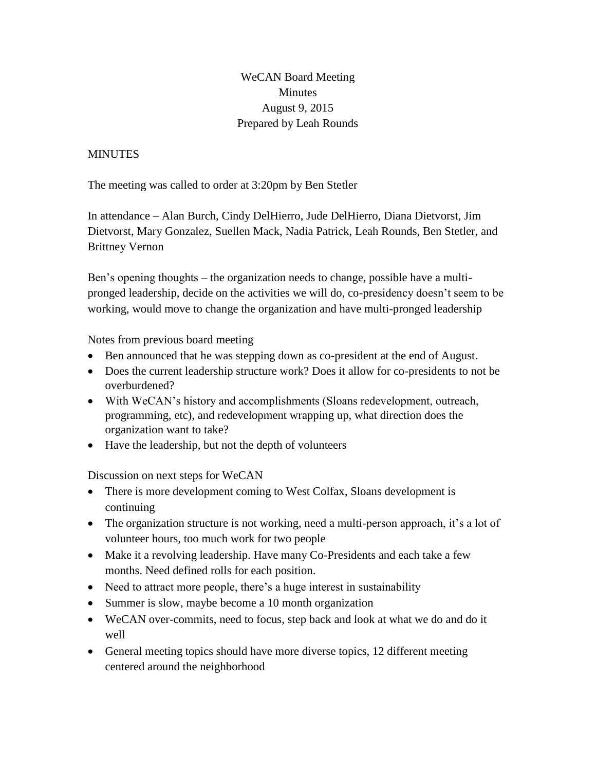WeCAN Board Meeting Minutes August 9, 2015 Prepared by Leah Rounds

## **MINUTES**

The meeting was called to order at 3:20pm by Ben Stetler

In attendance – Alan Burch, Cindy DelHierro, Jude DelHierro, Diana Dietvorst, Jim Dietvorst, Mary Gonzalez, Suellen Mack, Nadia Patrick, Leah Rounds, Ben Stetler, and Brittney Vernon

Ben's opening thoughts – the organization needs to change, possible have a multipronged leadership, decide on the activities we will do, co-presidency doesn't seem to be working, would move to change the organization and have multi-pronged leadership

Notes from previous board meeting

- Ben announced that he was stepping down as co-president at the end of August.
- Does the current leadership structure work? Does it allow for co-presidents to not be overburdened?
- With WeCAN's history and accomplishments (Sloans redevelopment, outreach, programming, etc), and redevelopment wrapping up, what direction does the organization want to take?
- Have the leadership, but not the depth of volunteers

Discussion on next steps for WeCAN

- There is more development coming to West Colfax, Sloans development is continuing
- The organization structure is not working, need a multi-person approach, it's a lot of volunteer hours, too much work for two people
- Make it a revolving leadership. Have many Co-Presidents and each take a few months. Need defined rolls for each position.
- Need to attract more people, there's a huge interest in sustainability
- Summer is slow, maybe become a 10 month organization
- WeCAN over-commits, need to focus, step back and look at what we do and do it well
- General meeting topics should have more diverse topics, 12 different meeting centered around the neighborhood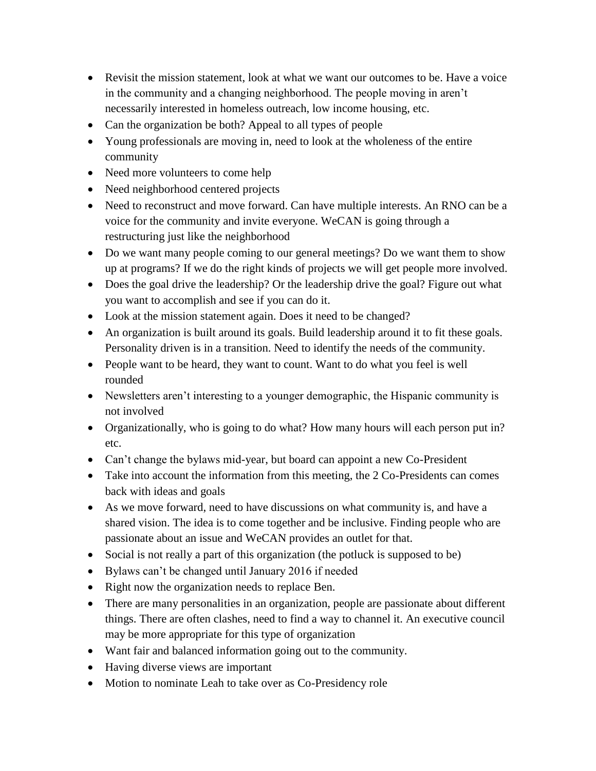- Revisit the mission statement, look at what we want our outcomes to be. Have a voice in the community and a changing neighborhood. The people moving in aren't necessarily interested in homeless outreach, low income housing, etc.
- Can the organization be both? Appeal to all types of people
- Young professionals are moving in, need to look at the wholeness of the entire community
- Need more volunteers to come help
- Need neighborhood centered projects
- Need to reconstruct and move forward. Can have multiple interests. An RNO can be a voice for the community and invite everyone. WeCAN is going through a restructuring just like the neighborhood
- Do we want many people coming to our general meetings? Do we want them to show up at programs? If we do the right kinds of projects we will get people more involved.
- Does the goal drive the leadership? Or the leadership drive the goal? Figure out what you want to accomplish and see if you can do it.
- Look at the mission statement again. Does it need to be changed?
- An organization is built around its goals. Build leadership around it to fit these goals. Personality driven is in a transition. Need to identify the needs of the community.
- People want to be heard, they want to count. Want to do what you feel is well rounded
- Newsletters aren't interesting to a younger demographic, the Hispanic community is not involved
- Organizationally, who is going to do what? How many hours will each person put in? etc.
- Can't change the bylaws mid-year, but board can appoint a new Co-President
- Take into account the information from this meeting, the 2 Co-Presidents can comes back with ideas and goals
- As we move forward, need to have discussions on what community is, and have a shared vision. The idea is to come together and be inclusive. Finding people who are passionate about an issue and WeCAN provides an outlet for that.
- Social is not really a part of this organization (the potluck is supposed to be)
- Bylaws can't be changed until January 2016 if needed
- Right now the organization needs to replace Ben.
- There are many personalities in an organization, people are passionate about different things. There are often clashes, need to find a way to channel it. An executive council may be more appropriate for this type of organization
- Want fair and balanced information going out to the community.
- Having diverse views are important
- Motion to nominate Leah to take over as Co-Presidency role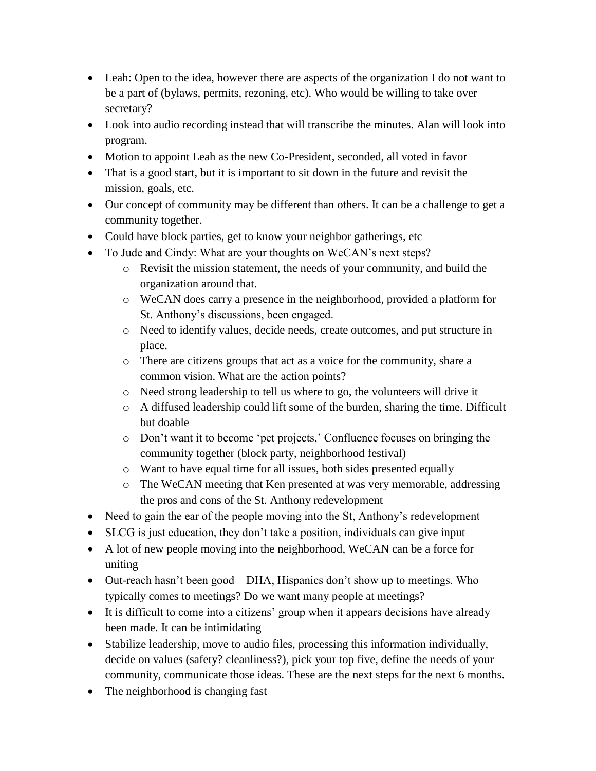- Leah: Open to the idea, however there are aspects of the organization I do not want to be a part of (bylaws, permits, rezoning, etc). Who would be willing to take over secretary?
- Look into audio recording instead that will transcribe the minutes. Alan will look into program.
- Motion to appoint Leah as the new Co-President, seconded, all voted in favor
- That is a good start, but it is important to sit down in the future and revisit the mission, goals, etc.
- Our concept of community may be different than others. It can be a challenge to get a community together.
- Could have block parties, get to know your neighbor gatherings, etc
- To Jude and Cindy: What are your thoughts on WeCAN's next steps?
	- o Revisit the mission statement, the needs of your community, and build the organization around that.
	- o WeCAN does carry a presence in the neighborhood, provided a platform for St. Anthony's discussions, been engaged.
	- o Need to identify values, decide needs, create outcomes, and put structure in place.
	- o There are citizens groups that act as a voice for the community, share a common vision. What are the action points?
	- o Need strong leadership to tell us where to go, the volunteers will drive it
	- o A diffused leadership could lift some of the burden, sharing the time. Difficult but doable
	- o Don't want it to become 'pet projects,' Confluence focuses on bringing the community together (block party, neighborhood festival)
	- o Want to have equal time for all issues, both sides presented equally
	- o The WeCAN meeting that Ken presented at was very memorable, addressing the pros and cons of the St. Anthony redevelopment
- Need to gain the ear of the people moving into the St, Anthony's redevelopment
- SLCG is just education, they don't take a position, individuals can give input
- A lot of new people moving into the neighborhood, WeCAN can be a force for uniting
- Out-reach hasn't been good DHA, Hispanics don't show up to meetings. Who typically comes to meetings? Do we want many people at meetings?
- It is difficult to come into a citizens' group when it appears decisions have already been made. It can be intimidating
- Stabilize leadership, move to audio files, processing this information individually, decide on values (safety? cleanliness?), pick your top five, define the needs of your community, communicate those ideas. These are the next steps for the next 6 months.
- The neighborhood is changing fast